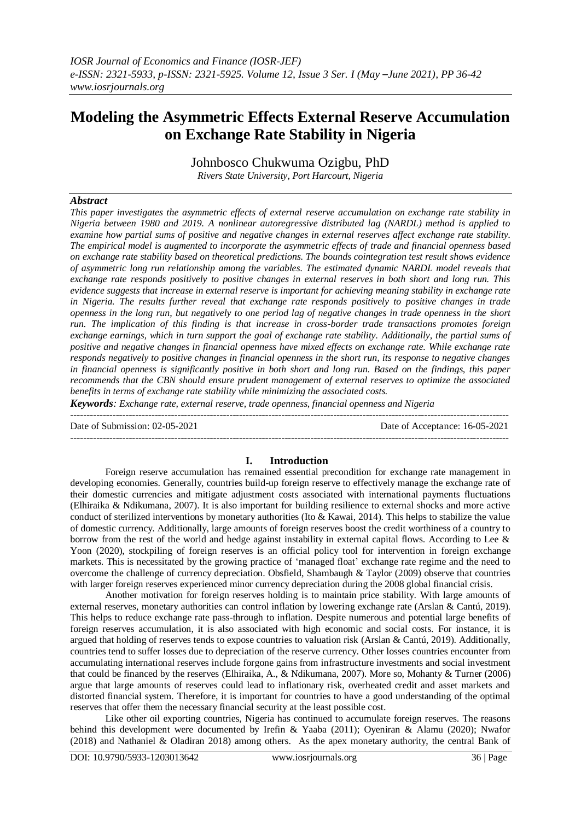# **Modeling the Asymmetric Effects External Reserve Accumulation on Exchange Rate Stability in Nigeria**

Johnbosco Chukwuma Ozigbu, PhD *Rivers State University, Port Harcourt, Nigeria*

# *Abstract*

*This paper investigates the asymmetric effects of external reserve accumulation on exchange rate stability in Nigeria between 1980 and 2019. A nonlinear autoregressive distributed lag (NARDL) method is applied to examine how partial sums of positive and negative changes in external reserves affect exchange rate stability. The empirical model is augmented to incorporate the asymmetric effects of trade and financial openness based on exchange rate stability based on theoretical predictions. The bounds cointegration test result shows evidence of asymmetric long run relationship among the variables. The estimated dynamic NARDL model reveals that exchange rate responds positively to positive changes in external reserves in both short and long run. This evidence suggests that increase in external reserve is important for achieving meaning stability in exchange rate in Nigeria. The results further reveal that exchange rate responds positively to positive changes in trade openness in the long run, but negatively to one period lag of negative changes in trade openness in the short run. The implication of this finding is that increase in cross-border trade transactions promotes foreign exchange earnings, which in turn support the goal of exchange rate stability. Additionally, the partial sums of positive and negative changes in financial openness have mixed effects on exchange rate. While exchange rate responds negatively to positive changes in financial openness in the short run, its response to negative changes in financial openness is significantly positive in both short and long run. Based on the findings, this paper recommends that the CBN should ensure prudent management of external reserves to optimize the associated benefits in terms of exchange rate stability while minimizing the associated costs.*

*Keywords: Exchange rate, external reserve, trade openness, financial openness and Nigeria*

--------------------------------------------------------------------------------------------------------------------------------------- Date of Submission: 02-05-2021 Date of Acceptance: 16-05-2021 ---------------------------------------------------------------------------------------------------------------------------------------

# **I. Introduction**

Foreign reserve accumulation has remained essential precondition for exchange rate management in developing economies. Generally, countries build-up foreign reserve to effectively manage the exchange rate of their domestic currencies and mitigate adjustment costs associated with international payments fluctuations (Elhiraika & Ndikumana, 2007). It is also important for building resilience to external shocks and more active conduct of sterilized interventions by monetary authorities (Ito  $& Kawai, 2014$ ). This helps to stabilize the value of domestic currency. Additionally, large amounts of foreign reserves boost the credit worthiness of a country to borrow from the rest of the world and hedge against instability in external capital flows. According to Lee & Yoon (2020), stockpiling of foreign reserves is an official policy tool for intervention in foreign exchange markets. This is necessitated by the growing practice of 'managed float' exchange rate regime and the need to overcome the challenge of currency depreciation. Obsfield, Shambaugh & Taylor (2009) observe that countries with larger foreign reserves experienced minor currency depreciation during the 2008 global financial crisis.

Another motivation for foreign reserves holding is to maintain price stability. With large amounts of external reserves, monetary authorities can control inflation by lowering exchange rate (Arslan & Cantú, 2019). This helps to reduce exchange rate pass-through to inflation. Despite numerous and potential large benefits of foreign reserves accumulation, it is also associated with high economic and social costs. For instance, it is argued that holding of reserves tends to expose countries to valuation risk (Arslan & Cantú, 2019). Additionally, countries tend to suffer losses due to depreciation of the reserve currency. Other losses countries encounter from accumulating international reserves include forgone gains from infrastructure investments and social investment that could be financed by the reserves (Elhiraika, A., & Ndikumana, 2007). More so, Mohanty & Turner (2006) argue that large amounts of reserves could lead to inflationary risk, overheated credit and asset markets and distorted financial system. Therefore, it is important for countries to have a good understanding of the optimal reserves that offer them the necessary financial security at the least possible cost.

Like other oil exporting countries, Nigeria has continued to accumulate foreign reserves. The reasons behind this development were documented by Irefin & Yaaba (2011); Oyeniran & Alamu (2020); Nwafor (2018) and Nathaniel & Oladiran 2018) among others. As the apex monetary authority, the central Bank of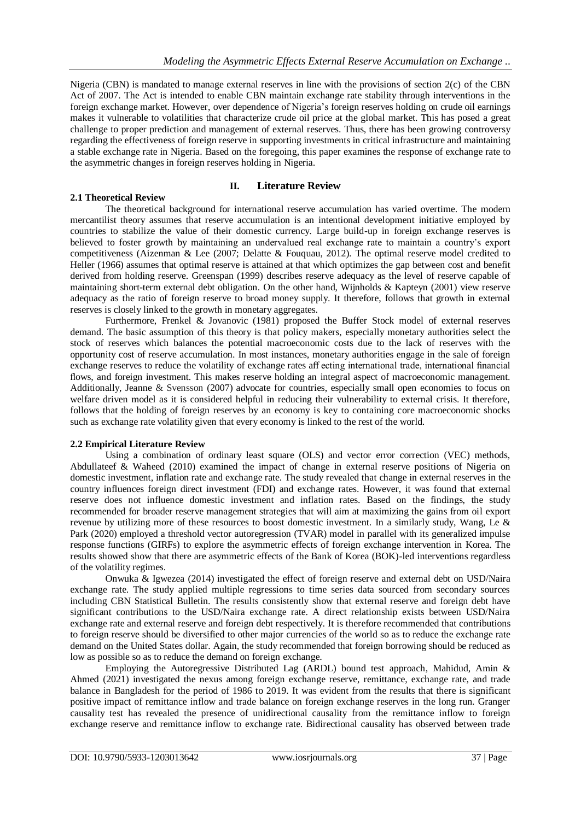Nigeria (CBN) is mandated to manage external reserves in line with the provisions of section 2(c) of the CBN Act of 2007. The Act is intended to enable CBN maintain exchange rate stability through interventions in the foreign exchange market. However, over dependence of Nigeria's foreign reserves holding on crude oil earnings makes it vulnerable to volatilities that characterize crude oil price at the global market. This has posed a great challenge to proper prediction and management of external reserves. Thus, there has been growing controversy regarding the effectiveness of foreign reserve in supporting investments in critical infrastructure and maintaining a stable exchange rate in Nigeria. Based on the foregoing, this paper examines the response of exchange rate to the asymmetric changes in foreign reserves holding in Nigeria.

# **II. Literature Review**

# The theoretical background for international reserve accumulation has varied overtime. The modern mercantilist theory assumes that reserve accumulation is an intentional development initiative employed by countries to stabilize the value of their domestic currency. Large build-up in foreign exchange reserves is believed to foster growth by maintaining an undervalued real exchange rate to maintain a country's export competitiveness (Aizenman & Lee (2007; Delatte & Fouquau, 2012). The optimal reserve model credited to Heller (1966) assumes that optimal reserve is attained at that which optimizes the gap between cost and benefit derived from holding reserve. Greenspan (1999) describes reserve adequacy as the level of reserve capable of maintaining short-term external debt obligation. On the other hand, Wijnholds & Kapteyn (2001) view reserve adequacy as the ratio of foreign reserve to broad money supply. It therefore, follows that growth in external reserves is closely linked to the growth in monetary aggregates.

Furthermore, Frenkel & Jovanovic (1981) proposed the Buffer Stock model of external reserves demand. The basic assumption of this theory is that policy makers, especially monetary authorities select the stock of reserves which balances the potential macroeconomic costs due to the lack of reserves with the opportunity cost of reserve accumulation. In most instances, monetary authorities engage in the sale of foreign exchange reserves to reduce the volatility of exchange rates aff ecting international trade, international financial flows, and foreign investment. This makes reserve holding an integral aspect of macroeconomic management. Additionally, Jeanne & Svensson (2007) advocate for countries, especially small open economies to focus on welfare driven model as it is considered helpful in reducing their vulnerability to external crisis. It therefore, follows that the holding of foreign reserves by an economy is key to containing core macroeconomic shocks such as exchange rate volatility given that every economy is linked to the rest of the world.

# **2.2 Empirical Literature Review**

**2.1 Theoretical Review**

Using a combination of ordinary least square (OLS) and vector error correction (VEC) methods, Abdullateef & Waheed (2010) examined the impact of change in external reserve positions of Nigeria on domestic investment, inflation rate and exchange rate. The study revealed that change in external reserves in the country influences foreign direct investment (FDI) and exchange rates. However, it was found that external reserve does not influence domestic investment and inflation rates. Based on the findings, the study recommended for broader reserve management strategies that will aim at maximizing the gains from oil export revenue by utilizing more of these resources to boost domestic investment. In a similarly study, Wang, Le & Park (2020) employed a threshold vector autoregression (TVAR) model in parallel with its generalized impulse response functions (GIRFs) to explore the asymmetric effects of foreign exchange intervention in Korea. The results showed show that there are asymmetric effects of the Bank of Korea (BOK)-led interventions regardless of the volatility regimes.

Onwuka & Igwezea (2014) investigated the effect of foreign reserve and external debt on USD/Naira exchange rate. The study applied multiple regressions to time series data sourced from secondary sources including CBN Statistical Bulletin. The results consistently show that external reserve and foreign debt have significant contributions to the USD/Naira exchange rate. A direct relationship exists between USD/Naira exchange rate and external reserve and foreign debt respectively. It is therefore recommended that contributions to foreign reserve should be diversified to other major currencies of the world so as to reduce the exchange rate demand on the United States dollar. Again, the study recommended that foreign borrowing should be reduced as low as possible so as to reduce the demand on foreign exchange.

Employing the Autoregressive Distributed Lag (ARDL) bound test approach, Mahidud, Amin & Ahmed (2021) investigated the nexus among foreign exchange reserve, remittance, exchange rate, and trade balance in Bangladesh for the period of 1986 to 2019. It was evident from the results that there is significant positive impact of remittance inflow and trade balance on foreign exchange reserves in the long run. Granger causality test has revealed the presence of unidirectional causality from the remittance inflow to foreign exchange reserve and remittance inflow to exchange rate. Bidirectional causality has observed between trade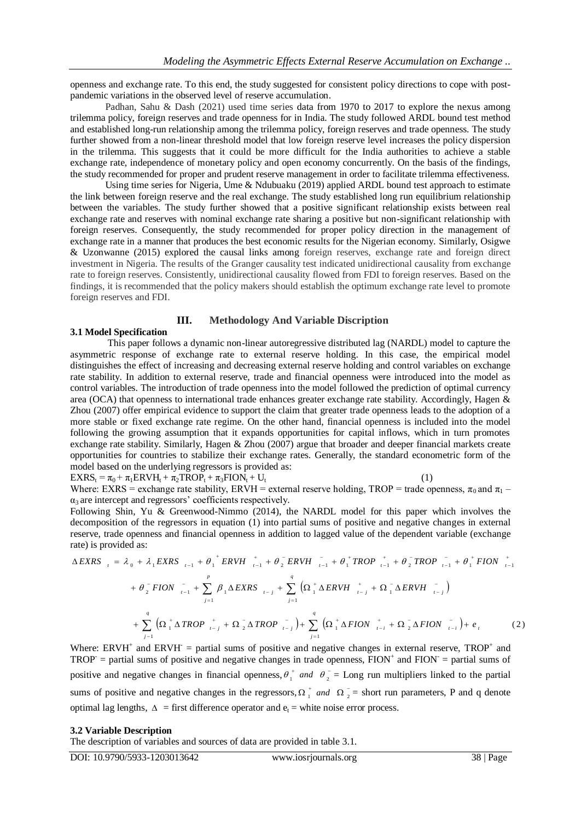openness and exchange rate. To this end, the study suggested for consistent policy directions to cope with postpandemic variations in the observed level of reserve accumulation.

Padhan, Sahu & Dash (2021) used time series data from 1970 to 2017 to explore the nexus among trilemma policy, foreign reserves and trade openness for in India. The study followed ARDL bound test method and established long-run relationship among the trilemma policy, foreign reserves and trade openness. The study further showed from a non-linear threshold model that low foreign reserve level increases the policy dispersion in the trilemma. This suggests that it could be more difficult for the India authorities to achieve a stable exchange rate, independence of monetary policy and open economy concurrently. On the basis of the findings, the study recommended for proper and prudent reserve management in order to facilitate trilemma effectiveness.

Using time series for Nigeria, Ume & Ndubuaku (2019) applied ARDL bound test approach to estimate the link between foreign reserve and the real exchange. The study established long run equilibrium relationship between the variables. The study further showed that a positive significant relationship exists between real exchange rate and reserves with nominal exchange rate sharing a positive but non-significant relationship with foreign reserves. Consequently, the study recommended for proper policy direction in the management of exchange rate in a manner that produces the best economic results for the Nigerian economy. Similarly, Osigwe & Uzonwanne (2015) explored the causal links among foreign reserves, exchange rate and foreign direct investment in Nigeria. The results of the Granger causality test indicated unidirectional causality from exchange rate to foreign reserves. Consistently, unidirectional causality flowed from FDI to foreign reserves. Based on the findings, it is recommended that the policy makers should establish the optimum exchange rate level to promote foreign reserves and FDI.

#### **III. Methodology And Variable Discription**

#### **3.1 Model Specification**

This paper follows a dynamic non-linear autoregressive distributed lag (NARDL) model to capture the asymmetric response of exchange rate to external reserve holding. In this case, the empirical model distinguishes the effect of increasing and decreasing external reserve holding and control variables on exchange rate stability. In addition to external reserve, trade and financial openness were introduced into the model as control variables. The introduction of trade openness into the model followed the prediction of optimal currency area (OCA) that openness to international trade enhances greater exchange rate stability. Accordingly, Hagen & Zhou (2007) offer empirical evidence to support the claim that greater trade openness leads to the adoption of a more stable or fixed exchange rate regime. On the other hand, financial openness is included into the model following the growing assumption that it expands opportunities for capital inflows, which in turn promotes exchange rate stability. Similarly, Hagen & Zhou (2007) argue that broader and deeper financial markets create opportunities for countries to stabilize their exchange rates. Generally, the standard econometric form of the model based on the underlying regressors is provided as:

 $EXRS_t = \pi_0 + \pi_1 ERVH_t + \pi_2 TROP_t + \pi_3 FION_t + U_t$  (1)

Where: EXRS = exchange rate stability, ERVH = external reserve holding, TROP = trade openness,  $\pi_0$  and  $\pi_1$  –  $\alpha_3$  are intercept and regressors' coefficients respectively.

Following Shin, Yu & Greenwood-Nimmo (2014), the NARDL model for this paper which involves the decomposition of the regressors in equation (1) into partial sums of positive and negative changes in external reserve, trade openness and financial openness in addition to lagged value of the dependent variable (exchange rate) is provided as:

$$
\Delta EXRS_{i} = \lambda_{0} + \lambda_{1}EXRS_{i-1} + {\theta_{1}^{+}}ERVH_{i-1}^{+} + {\theta_{2}^{-}}ERVH_{i-1}^{-} + {\theta_{1}^{+}}TROP_{i-1}^{+} + {\theta_{2}^{-}}TROP_{i-1}^{-} + {\theta_{1}^{+}}FION_{i-1}^{+}
$$
  
+  $\theta_{2}^{-}FION_{i-1}^{-} + \sum_{j=1}^{p} {\beta_{1}\Delta EXRS_{i-j} + \sum_{j=1}^{q} (\Omega_{1}^{+}\Delta ERVH_{i-j}^{+} + \Omega_{1}^{-}\Delta ERVH_{i-j}^{-})$   
+  $\sum_{j=1}^{q} (\Omega_{1}^{+}\Delta TROP_{i-j}^{+} + \Omega_{2}^{-}\Delta TROP_{i-j}^{-}) + \sum_{j=1}^{q} (\Omega_{1}^{+}\Delta FION_{i-1}^{+} + \Omega_{2}^{-}\Delta FION_{i-1}^{-}) + e_{i}$  (2)

Where: ERVH<sup>+</sup> and ERVH<sup>-</sup> = partial sums of positive and negative changes in external reserve, TROP<sup>+</sup> and  $TROP =$  partial sums of positive and negative changes in trade openness,  $FION<sup>+</sup>$  and  $FION =$  partial sums of positive and negative changes in financial openness,  $\theta_1^+$  and  $\theta_2^ \theta_1^+$  and  $\theta_2^-$  = Long run multipliers linked to the partial sums of positive and negative changes in the regressors,  $\Omega_1^+$  and  $\Omega_2^-$  = short run parameters, P and q denote optimal lag lengths,  $\Delta$  = first difference operator and  $e_t$  = white noise error process.

#### **3.2 Variable Description**

The description of variables and sources of data are provided in table 3.1.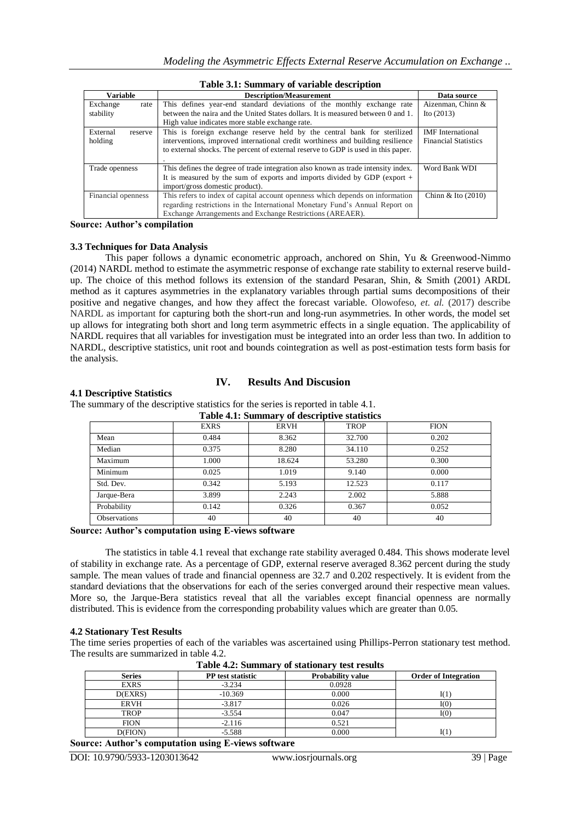| Table 3.1: Summary of variable description |                                                                                   |                             |  |
|--------------------------------------------|-----------------------------------------------------------------------------------|-----------------------------|--|
| Variable                                   | <b>Description/Measurement</b>                                                    | Data source                 |  |
| Exchange<br>rate                           | This defines year-end standard deviations of the monthly exchange rate            | Aizenman, Chinn &           |  |
| stability                                  | between the naira and the United States dollars. It is measured between 0 and 1.  | Ito (2013)                  |  |
|                                            | High value indicates more stable exchange rate.                                   |                             |  |
| External<br>reserve                        | This is foreign exchange reserve held by the central bank for sterilized          | <b>IMF</b> International    |  |
| holding                                    | interventions, improved international credit worthiness and building resilience   | <b>Financial Statistics</b> |  |
|                                            | to external shocks. The percent of external reserve to GDP is used in this paper. |                             |  |
|                                            |                                                                                   |                             |  |
| Trade openness                             | This defines the degree of trade integration also known as trade intensity index. | Word Bank WDI               |  |
|                                            | It is measured by the sum of exports and imports divided by GDP (export $+$       |                             |  |
|                                            | import/gross domestic product).                                                   |                             |  |
| Financial openness                         | This refers to index of capital account openness which depends on information     | Chinn & Ito $(2010)$        |  |
|                                            | regarding restrictions in the International Monetary Fund's Annual Report on      |                             |  |
|                                            | Exchange Arrangements and Exchange Restrictions (AREAER).                         |                             |  |

#### **Table 3.1: Summary of variable description**

**Source: Author's compilation**

#### **3.3 Techniques for Data Analysis**

This paper follows a dynamic econometric approach, anchored on Shin, Yu & Greenwood-Nimmo (2014) NARDL method to estimate the asymmetric response of exchange rate stability to external reserve buildup. The choice of this method follows its extension of the standard Pesaran, Shin, & Smith (2001) ARDL method as it captures asymmetries in the explanatory variables through partial sums decompositions of their positive and negative changes, and how they affect the forecast variable. Olowofeso, *et. al.* (2017) describe NARDL as important for capturing both the short-run and long-run asymmetries. In other words, the model set up allows for integrating both short and long term asymmetric effects in a single equation. The applicability of NARDL requires that all variables for investigation must be integrated into an order less than two. In addition to NARDL, descriptive statistics, unit root and bounds cointegration as well as post-estimation tests form basis for the analysis.

#### **4.1 Descriptive Statistics**

# **IV. Results And Discusion**

The summary of the descriptive statistics for the series is reported in table 4.1.

| Table 4.1: Summary of descriptive statistics |             |             |             |             |
|----------------------------------------------|-------------|-------------|-------------|-------------|
|                                              | <b>EXRS</b> | <b>ERVH</b> | <b>TROP</b> | <b>FION</b> |
| Mean                                         | 0.484       | 8.362       | 32.700      | 0.202       |
| Median                                       | 0.375       | 8.280       | 34.110      | 0.252       |
| Maximum                                      | 1.000       | 18.624      | 53.280      | 0.300       |
| Minimum                                      | 0.025       | 1.019       | 9.140       | 0.000       |
| Std. Dev.                                    | 0.342       | 5.193       | 12.523      | 0.117       |
| Jarque-Bera                                  | 3.899       | 2.243       | 2.002       | 5.888       |
| Probability                                  | 0.142       | 0.326       | 0.367       | 0.052       |
| <b>Observations</b>                          | 40          | 40          | 40          | 40          |

#### **Source: Author's computation using E-views software**

The statistics in table 4.1 reveal that exchange rate stability averaged 0.484. This shows moderate level of stability in exchange rate. As a percentage of GDP, external reserve averaged 8.362 percent during the study sample. The mean values of trade and financial openness are 32.7 and 0.202 respectively. It is evident from the standard deviations that the observations for each of the series converged around their respective mean values. More so, the Jarque-Bera statistics reveal that all the variables except financial openness are normally distributed. This is evidence from the corresponding probability values which are greater than 0.05.

#### **4.2 Stationary Test Results**

The time series properties of each of the variables was ascertained using Phillips-Perron stationary test method. The results are summarized in table 4.2.

| таріс ¬.2. баншаг у<br><u>ul stativnal</u> v test results |                          |                          |                             |
|-----------------------------------------------------------|--------------------------|--------------------------|-----------------------------|
| <b>Series</b>                                             | <b>PP</b> test statistic | <b>Probability value</b> | <b>Order of Integration</b> |
| <b>EXRS</b>                                               | $-3.234$                 | 0.0928                   |                             |
| D(EXRS)                                                   | $-10.369$                | 0.000                    | I(1)                        |
| <b>ERVH</b>                                               | $-3.817$                 | 0.026                    | I(0)                        |
| <b>TROP</b>                                               | $-3.554$                 | 0.047                    | I(0)                        |
| <b>FION</b>                                               | $-2.116$                 | 0.521                    |                             |
| D(FION)                                                   | $-5.588$                 | 0.000                    | I(1)                        |

**Table 4.2: Summary of stationary test results**

**Source: Author's computation using E-views software**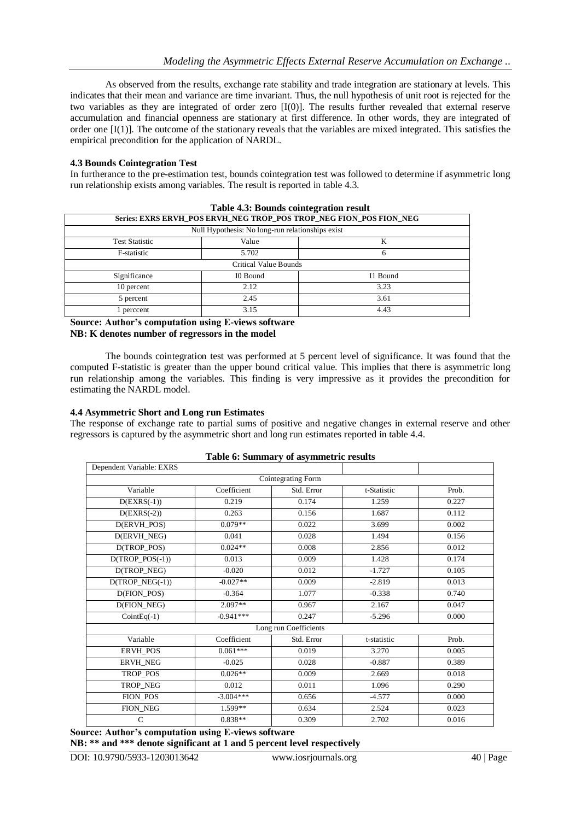As observed from the results, exchange rate stability and trade integration are stationary at levels. This indicates that their mean and variance are time invariant. Thus, the null hypothesis of unit root is rejected for the two variables as they are integrated of order zero [I(0)]. The results further revealed that external reserve accumulation and financial openness are stationary at first difference. In other words, they are integrated of order one [I(1)]. The outcome of the stationary reveals that the variables are mixed integrated. This satisfies the empirical precondition for the application of NARDL.

# **4.3 Bounds Cointegration Test**

In furtherance to the pre-estimation test, bounds cointegration test was followed to determine if asymmetric long run relationship exists among variables. The result is reported in table 4.3.

| Series: EXRS ERVH POS ERVH NEG TROP POS TROP NEG FION POS FION NEG |          |          |  |
|--------------------------------------------------------------------|----------|----------|--|
| Null Hypothesis: No long-run relationships exist                   |          |          |  |
| <b>Test Statistic</b>                                              | Value    | K        |  |
| F-statistic                                                        | 5.702    | n        |  |
| Critical Value Bounds                                              |          |          |  |
| Significance                                                       | I0 Bound | I1 Bound |  |
| 10 percent                                                         | 2.12     | 3.23     |  |
| 5 percent                                                          | 2.45     | 3.61     |  |
| l perccent                                                         | 3.15     | 4.43     |  |

**Table 4.3: Bounds cointegration result**

**Source: Author's computation using E-views software NB: K denotes number of regressors in the model**

The bounds cointegration test was performed at 5 percent level of significance. It was found that the computed F-statistic is greater than the upper bound critical value. This implies that there is asymmetric long run relationship among the variables. This finding is very impressive as it provides the precondition for estimating the NARDL model.

# **4.4 Asymmetric Short and Long run Estimates**

The response of exchange rate to partial sums of positive and negative changes in external reserve and other regressors is captured by the asymmetric short and long run estimates reported in table 4.4.

| Dependent Variable: EXRS    |             | $\ldots$   |             |       |  |
|-----------------------------|-------------|------------|-------------|-------|--|
| Cointegrating Form          |             |            |             |       |  |
| Variable                    | Coefficient | Std. Error | t-Statistic | Prob. |  |
| $D(EXRS(-1))$               | 0.219       | 0.174      | 1.259       | 0.227 |  |
| $D(EXRS(-2))$               | 0.263       | 0.156      | 1.687       | 0.112 |  |
| $D(ERVH_POS)$               | $0.079**$   | 0.022      | 3.699       | 0.002 |  |
| D(ERVH_NEG)                 | 0.041       | 0.028      | 1.494       | 0.156 |  |
| D(TROP_POS)                 | $0.024**$   | 0.008      | 2.856       | 0.012 |  |
| $D(TROP_POS(-1))$           | 0.013       | 0.009      | 1.428       | 0.174 |  |
| D(TROP_NEG)                 | $-0.020$    | 0.012      | $-1.727$    | 0.105 |  |
| $D(TROP\_NEG(-1))$          | $-0.027**$  | 0.009      | $-2.819$    | 0.013 |  |
| $\overline{D($ FION_POS $)$ | $-0.364$    | 1.077      | $-0.338$    | 0.740 |  |
| D(FION_NEG)                 | $2.097**$   | 0.967      | 2.167       | 0.047 |  |
| $CointEq(-1)$               | $-0.941***$ | 0.247      | $-5.296$    | 0.000 |  |
| Long run Coefficients       |             |            |             |       |  |
| Variable                    | Coefficient | Std. Error | t-statistic | Prob. |  |
| ERVH_POS                    | $0.061***$  | 0.019      | 3.270       | 0.005 |  |
| <b>ERVH NEG</b>             | $-0.025$    | 0.028      | $-0.887$    | 0.389 |  |
| TROP_POS                    | $0.026**$   | 0.009      | 2.669       | 0.018 |  |
| TROP_NEG                    | 0.012       | 0.011      | 1.096       | 0.290 |  |
| FION_POS                    | $-3.004***$ | 0.656      | $-4.577$    | 0.000 |  |
| FION_NEG                    | 1.599**     | 0.634      | 2.524       | 0.023 |  |
| $\mathsf{C}$                | $0.838**$   | 0.309      | 2.702       | 0.016 |  |

**Table 6: Summary of asymmetric results**

**Source: Author's computation using E-views software**

**NB: \*\* and \*\*\* denote significant at 1 and 5 percent level respectively**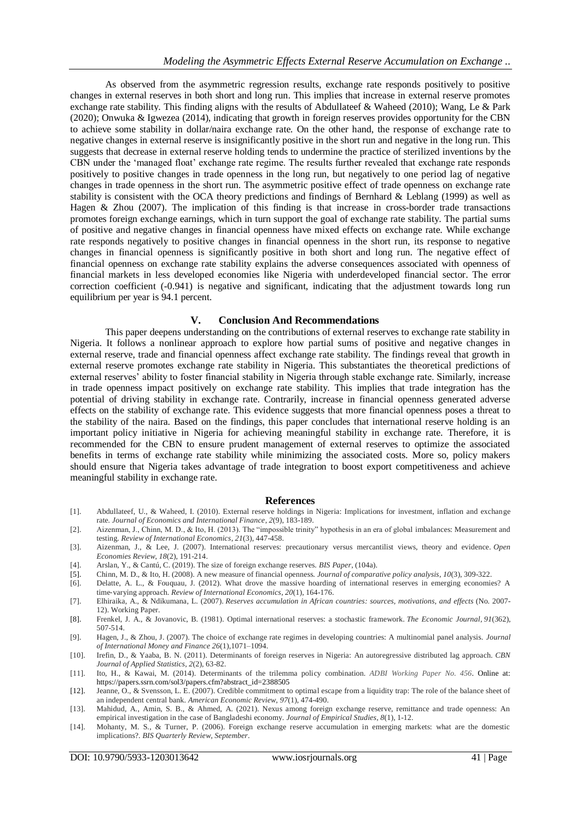As observed from the asymmetric regression results, exchange rate responds positively to positive changes in external reserves in both short and long run. This implies that increase in external reserve promotes exchange rate stability. This finding aligns with the results of Abdullateef & Waheed (2010); Wang, Le & Park (2020); Onwuka & Igwezea (2014), indicating that growth in foreign reserves provides opportunity for the CBN to achieve some stability in dollar/naira exchange rate. On the other hand, the response of exchange rate to negative changes in external reserve is insignificantly positive in the short run and negative in the long run. This suggests that decrease in external reserve holding tends to undermine the practice of sterilized inventions by the CBN under the 'managed float' exchange rate regime. The results further revealed that exchange rate responds positively to positive changes in trade openness in the long run, but negatively to one period lag of negative changes in trade openness in the short run. The asymmetric positive effect of trade openness on exchange rate stability is consistent with the OCA theory predictions and findings of Bernhard & Leblang (1999) as well as Hagen & Zhou (2007). The implication of this finding is that increase in cross-border trade transactions promotes foreign exchange earnings, which in turn support the goal of exchange rate stability. The partial sums of positive and negative changes in financial openness have mixed effects on exchange rate. While exchange rate responds negatively to positive changes in financial openness in the short run, its response to negative changes in financial openness is significantly positive in both short and long run. The negative effect of financial openness on exchange rate stability explains the adverse consequences associated with openness of financial markets in less developed economies like Nigeria with underdeveloped financial sector. The error correction coefficient (-0.941) is negative and significant, indicating that the adjustment towards long run equilibrium per year is 94.1 percent.

# **V. Conclusion And Recommendations**

This paper deepens understanding on the contributions of external reserves to exchange rate stability in Nigeria. It follows a nonlinear approach to explore how partial sums of positive and negative changes in external reserve, trade and financial openness affect exchange rate stability. The findings reveal that growth in external reserve promotes exchange rate stability in Nigeria. This substantiates the theoretical predictions of external reserves' ability to foster financial stability in Nigeria through stable exchange rate. Similarly, increase in trade openness impact positively on exchange rate stability. This implies that trade integration has the potential of driving stability in exchange rate. Contrarily, increase in financial openness generated adverse effects on the stability of exchange rate. This evidence suggests that more financial openness poses a threat to the stability of the naira. Based on the findings, this paper concludes that international reserve holding is an important policy initiative in Nigeria for achieving meaningful stability in exchange rate. Therefore, it is recommended for the CBN to ensure prudent management of external reserves to optimize the associated benefits in terms of exchange rate stability while minimizing the associated costs. More so, policy makers should ensure that Nigeria takes advantage of trade integration to boost export competitiveness and achieve meaningful stability in exchange rate.

#### **References**

- [1]. Abdullateef, U., & Waheed, I. (2010). External reserve holdings in Nigeria: Implications for investment, inflation and exchange rate. *Journal of Economics and International Finance*, *2*(9), 183-189.
- [2]. Aizenman, J., Chinn, M. D., & Ito, H. (2013). The "impossible trinity" hypothesis in an era of global imbalances: Measurement and testing. *Review of International Economics*, *21*(3), 447-458.
- [3]. Aizenman, J., & Lee, J. (2007). International reserves: precautionary versus mercantilist views, theory and evidence. *Open Economies Review*, *18*(2), 191-214.
- [4]. Arslan, Y., & Cantú, C. (2019). The size of foreign exchange reserves. *BIS Paper*, (104a).
- [5]. Chinn, M. D., & Ito, H. (2008). A new measure of financial openness. *Journal of comparative policy analysis*, *10*(3), 309-322.
- [6]. Delatte, A. L., & Fouquau, J. (2012). What drove the massive hoarding of international reserves in emerging economies? A time‐varying approach. *Review of International Economics*, *20*(1), 164-176.
- [7]. Elhiraika, A., & Ndikumana, L. (2007). *Reserves accumulation in African countries: sources, motivations, and effects* (No. 2007- 12). Working Paper.
- [8]. Frenkel, J. A., & Jovanovic, B. (1981). Optimal international reserves: a stochastic framework. *The Economic Journal*, *91*(362), 507-514.
- [9]. Hagen, J., & Zhou, J. (2007). The choice of exchange rate regimes in developing countries: A multinomial panel analysis. *Journal of International Money and Finance 26*(1),1071–1094.
- [10]. Irefin, D., & Yaaba, B. N. (2011). Determinants of foreign reserves in Nigeria: An autoregressive distributed lag approach. *CBN Journal of Applied Statistics*, *2*(2), 63-82.
- [11]. Ito, H., & Kawai, M. (2014). Determinants of the trilemma policy combination. *[ADBI Working Paper No. 456](https://papers.ssrn.com/sol3/papers.cfm?abstract_id=2388505)*. Online at: https://papers.ssrn.com/sol3/papers.cfm?abstract\_id=2388505
- [12]. Jeanne, O., & Svensson, L. E. (2007). Credible commitment to optimal escape from a liquidity trap: The role of the balance sheet of an independent central bank. *American Economic Review*, *97*(1), 474-490.
- [13]. Mahidud, A., Amin, S. B., & Ahmed, A. (2021). Nexus among foreign exchange reserve, remittance and trade openness: An empirical investigation in the case of Bangladeshi economy. *Journal of Empirical Studies*, *8*(1), 1-12.
- [14]. Mohanty, M. S., & Turner, P. (2006). Foreign exchange reserve accumulation in emerging markets: what are the domestic implications?. *BIS Quarterly Review, September*.